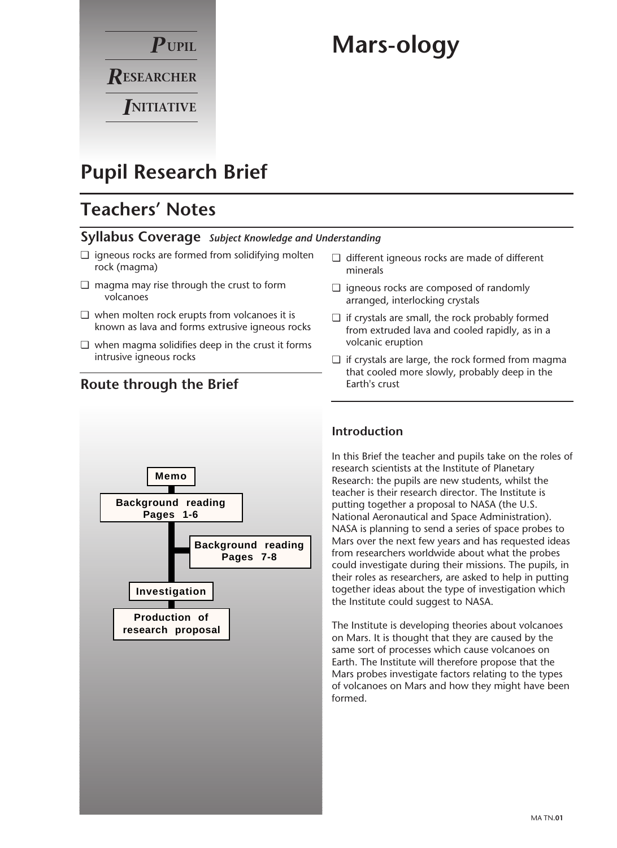

# **Mars-ology**

# **Pupil Research Brief**

# **Teachers' Notes**

#### **Syllabus Coverage** *Subject Knowledge and Understanding*

- ❏ igneous rocks are formed from solidifying molten rock (magma)
- ❏ magma may rise through the crust to form volcanoes
- ❏ when molten rock erupts from volcanoes it is known as lava and forms extrusive igneous rocks
- ❏ when magma solidifies deep in the crust it forms intrusive igneous rocks

# **Memo Background reading Pages 1-6 Background reading Pages 7-8 Production of research proposal Investigation**

#### **Route through the Brief**

- ❏ different igneous rocks are made of different minerals
- ❏ igneous rocks are composed of randomly arranged, interlocking crystals
- ❏ if crystals are small, the rock probably formed from extruded lava and cooled rapidly, as in a volcanic eruption
- ❏ if crystals are large, the rock formed from magma that cooled more slowly, probably deep in the Earth's crust

#### **Introduction**

In this Brief the teacher and pupils take on the roles of research scientists at the Institute of Planetary Research: the pupils are new students, whilst the teacher is their research director. The Institute is putting together a proposal to NASA (the U.S. National Aeronautical and Space Administration). NASA is planning to send a series of space probes to Mars over the next few years and has requested ideas from researchers worldwide about what the probes could investigate during their missions. The pupils, in their roles as researchers, are asked to help in putting together ideas about the type of investigation which the Institute could suggest to NASA.

The Institute is developing theories about volcanoes on Mars. It is thought that they are caused by the same sort of processes which cause volcanoes on Earth. The Institute will therefore propose that the Mars probes investigate factors relating to the types of volcanoes on Mars and how they might have been formed.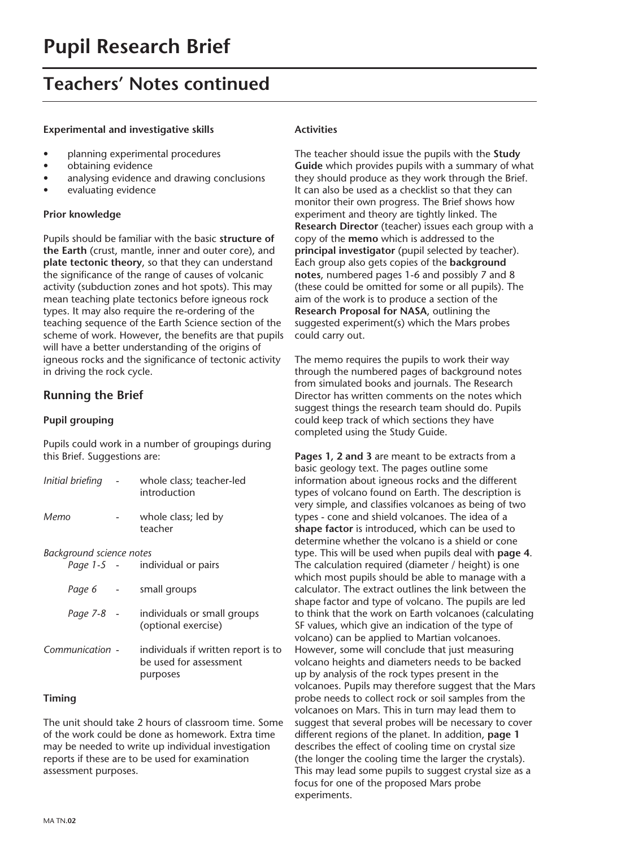# **Teachers' Notes continued**

#### **Experimental and investigative skills**

- planning experimental procedures
- obtaining evidence
- analysing evidence and drawing conclusions
- evaluating evidence

#### **Prior knowledge**

Pupils should be familiar with the basic **structure of the Earth** (crust, mantle, inner and outer core), and **plate tectonic theory**, so that they can understand the significance of the range of causes of volcanic activity (subduction zones and hot spots). This may mean teaching plate tectonics before igneous rock types. It may also require the re-ordering of the teaching sequence of the Earth Science section of the scheme of work. However, the benefits are that pupils will have a better understanding of the origins of igneous rocks and the significance of tectonic activity in driving the rock cycle.

#### **Running the Brief**

#### **Pupil grouping**

Pupils could work in a number of groupings during this Brief. Suggestions are:

| Initial briefing -                                         |            |  | whole class; teacher-led<br>introduction                                  |  |
|------------------------------------------------------------|------------|--|---------------------------------------------------------------------------|--|
| Memo                                                       |            |  | whole class; led by<br>teacher                                            |  |
| Background science notes<br>Page 1-5 - individual or pairs |            |  |                                                                           |  |
|                                                            |            |  | <i>Page 6</i> - small groups                                              |  |
|                                                            | Page 7-8 - |  | individuals or small groups<br>(optional exercise)                        |  |
| Communication -                                            |            |  | individuals if written report is to<br>be used for assessment<br>purposes |  |

#### **Timing**

The unit should take 2 hours of classroom time. Some of the work could be done as homework. Extra time may be needed to write up individual investigation reports if these are to be used for examination assessment purposes.

#### **Activities**

The teacher should issue the pupils with the **Study Guide** which provides pupils with a summary of what they should produce as they work through the Brief. It can also be used as a checklist so that they can monitor their own progress. The Brief shows how experiment and theory are tightly linked. The **Research Director** (teacher) issues each group with a copy of the **memo** which is addressed to the **principal investigator** (pupil selected by teacher). Each group also gets copies of the **background notes**, numbered pages 1-6 and possibly 7 and 8 (these could be omitted for some or all pupils). The aim of the work is to produce a section of the **Research Proposal for NASA**, outlining the suggested experiment(s) which the Mars probes could carry out.

The memo requires the pupils to work their way through the numbered pages of background notes from simulated books and journals. The Research Director has written comments on the notes which suggest things the research team should do. Pupils could keep track of which sections they have completed using the Study Guide.

**Pages 1, 2 and 3** are meant to be extracts from a basic geology text. The pages outline some information about igneous rocks and the different types of volcano found on Earth. The description is very simple, and classifies volcanoes as being of two types - cone and shield volcanoes. The idea of a **shape factor** is introduced, which can be used to determine whether the volcano is a shield or cone type. This will be used when pupils deal with **page 4**. The calculation required (diameter / height) is one which most pupils should be able to manage with a calculator. The extract outlines the link between the shape factor and type of volcano. The pupils are led to think that the work on Earth volcanoes (calculating SF values, which give an indication of the type of volcano) can be applied to Martian volcanoes. However, some will conclude that just measuring volcano heights and diameters needs to be backed up by analysis of the rock types present in the volcanoes. Pupils may therefore suggest that the Mars probe needs to collect rock or soil samples from the volcanoes on Mars. This in turn may lead them to suggest that several probes will be necessary to cover different regions of the planet. In addition, **page 1** describes the effect of cooling time on crystal size (the longer the cooling time the larger the crystals). This may lead some pupils to suggest crystal size as a focus for one of the proposed Mars probe experiments.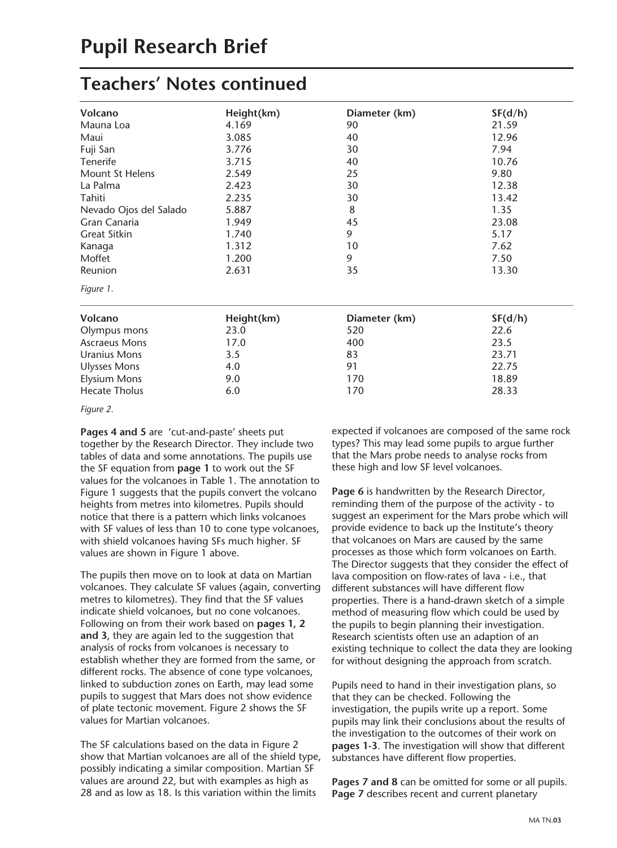### **Teachers' Notes continued**

| Volcano                | Height(km) | Diameter (km) | SF(d/h)        |
|------------------------|------------|---------------|----------------|
| Mauna Loa              | 4.169      | 90            | 21.59<br>12.96 |
| Maui                   | 3.085      | 40            |                |
| Fuji San               | 3.776      | 30            | 7.94           |
| Tenerife               | 3.715      | 40            | 10.76          |
| Mount St Helens        | 2.549      | 25            | 9.80           |
| La Palma               | 2.423      | 30            | 12.38          |
| Tahiti                 | 2.235      | 30            | 13.42          |
| Nevado Ojos del Salado | 5.887      | 8             | 1.35           |
| Gran Canaria           | 1.949      | 45            | 23.08          |
| <b>Great Sitkin</b>    | 1.740      | 9             | 5.17           |
| Kanaga                 | 1.312      | 10            | 7.62           |
| Moffet                 | 1.200      | 9             | 7.50           |
| Reunion                | 2.631      | 35            | 13.30          |
| Figure 1.              |            |               |                |
| Volcano                | Height(km) | Diameter (km) | SF(d/h)        |
| Olympus mons           | 23.0       | 520           | 22.6           |
| <b>Ascraeus Mons</b>   | 17.0       | 400           | 23.5           |
| <b>Uranius Mons</b>    | 3.5        | 83            | 23.71          |
| <b>Ulysses Mons</b>    | 4.0        | 91            | 22.75          |
| <b>Elysium Mons</b>    | 9.0        | 170           | 18.89          |
| <b>Hecate Tholus</b>   | 6.0        | 170           | 28.33          |

#### *Figure 2.*

**Pages 4 and 5** are 'cut-and-paste' sheets put together by the Research Director. They include two tables of data and some annotations. The pupils use the SF equation from **page 1** to work out the SF values for the volcanoes in Table 1. The annotation to Figure 1 suggests that the pupils convert the volcano heights from metres into kilometres. Pupils should notice that there is a pattern which links volcanoes with SF values of less than 10 to cone type volcanoes, with shield volcanoes having SFs much higher. SF values are shown in Figure 1 above.

The pupils then move on to look at data on Martian volcanoes. They calculate SF values (again, converting metres to kilometres). They find that the SF values indicate shield volcanoes, but no cone volcanoes. Following on from their work based on **pages 1, 2 and 3**, they are again led to the suggestion that analysis of rocks from volcanoes is necessary to establish whether they are formed from the same, or different rocks. The absence of cone type volcanoes, linked to subduction zones on Earth, may lead some pupils to suggest that Mars does not show evidence of plate tectonic movement. Figure 2 shows the SF values for Martian volcanoes.

The SF calculations based on the data in Figure 2 show that Martian volcanoes are all of the shield type, possibly indicating a similar composition. Martian SF values are around 22, but with examples as high as 28 and as low as 18. Is this variation within the limits

expected if volcanoes are composed of the same rock types? This may lead some pupils to argue further that the Mars probe needs to analyse rocks from these high and low SF level volcanoes.

**Page 6** is handwritten by the Research Director, reminding them of the purpose of the activity - to suggest an experiment for the Mars probe which will provide evidence to back up the Institute's theory that volcanoes on Mars are caused by the same processes as those which form volcanoes on Earth. The Director suggests that they consider the effect of lava composition on flow-rates of lava - i.e., that different substances will have different flow properties. There is a hand-drawn sketch of a simple method of measuring flow which could be used by the pupils to begin planning their investigation. Research scientists often use an adaption of an existing technique to collect the data they are looking for without designing the approach from scratch.

Pupils need to hand in their investigation plans, so that they can be checked. Following the investigation, the pupils write up a report. Some pupils may link their conclusions about the results of the investigation to the outcomes of their work on **pages 1-3**. The investigation will show that different substances have different flow properties.

**Pages 7 and 8** can be omitted for some or all pupils. **Page 7** describes recent and current planetary